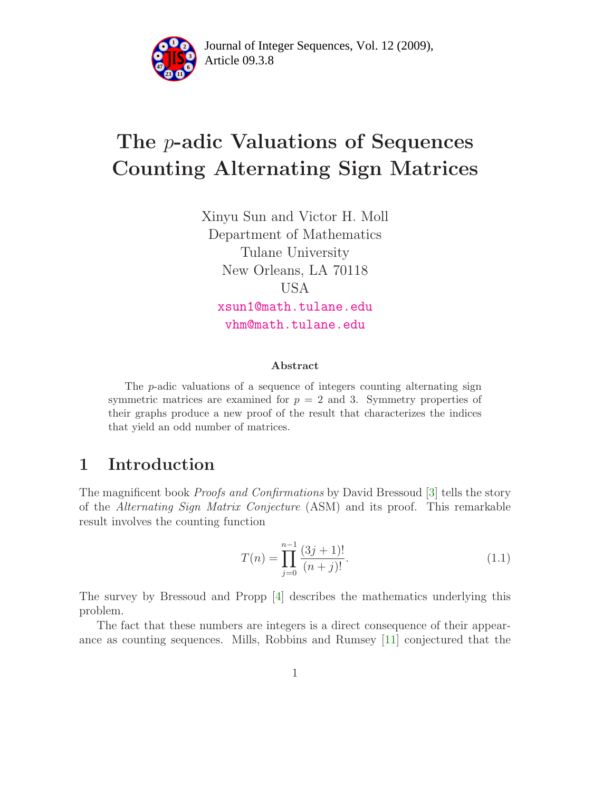

Article 09.3.8 **<sup>2</sup>** Journal of Integer Sequences, Vol. 12 (2009),

# The p-adic Valuations of Sequences Counting Alternating Sign Matrices

Xinyu Sun and Victor H. Moll Department of Mathematics Tulane University New Orleans, LA 70118 USA [xsun1@math.tulane.edu](mailto:xsun1@math.tulane.edu) [vhm@math.tulane.edu](mailto:vhm@math.tulane.edu)

#### Abstract

The  $p$ -adic valuations of a sequence of integers counting alternating sign symmetric matrices are examined for  $p = 2$  and 3. Symmetry properties of their graphs produce a new proof of the result that characterizes the indices that yield an odd number of matrices.

# <span id="page-0-1"></span>1 Introduction

The magnificent book Proofs and Confirmations by David Bressoud [\[3\]](#page-22-0) tells the story of the Alternating Sign Matrix Conjecture (ASM) and its proof. This remarkable result involves the counting function

<span id="page-0-0"></span>
$$
T(n) = \prod_{j=0}^{n-1} \frac{(3j+1)!}{(n+j)!}.
$$
\n(1.1)

The survey by Bressoud and Propp [\[4\]](#page-22-1) describes the mathematics underlying this problem.

The fact that these numbers are integers is a direct consequence of their appearance as counting sequences. Mills, Robbins and Rumsey [\[11\]](#page-22-2) conjectured that the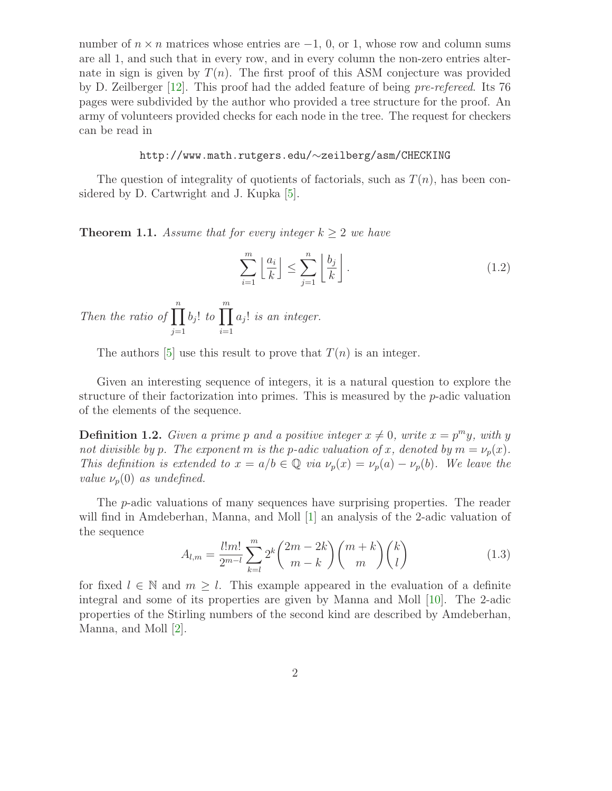number of  $n \times n$  matrices whose entries are  $-1$ , 0, or 1, whose row and column sums are all 1, and such that in every row, and in every column the non-zero entries alternate in sign is given by  $T(n)$ . The first proof of this ASM conjecture was provided by D. Zeilberger [\[12\]](#page-23-0). This proof had the added feature of being pre-refereed. Its 76 pages were subdivided by the author who provided a tree structure for the proof. An army of volunteers provided checks for each node in the tree. The request for checkers can be read in

#### http://www.math.rutgers.edu/∼zeilberg/asm/CHECKING

<span id="page-1-0"></span>The question of integrality of quotients of factorials, such as  $T(n)$ , has been considered by D. Cartwright and J. Kupka [\[5\]](#page-22-3).

**Theorem 1.1.** Assume that for every integer  $k \geq 2$  we have

$$
\sum_{i=1}^{m} \left\lfloor \frac{a_i}{k} \right\rfloor \le \sum_{j=1}^{n} \left\lfloor \frac{b_j}{k} \right\rfloor. \tag{1.2}
$$

Then the ratio of  $\prod^n$  $j=1$  $b_j!$  to  $\prod^m$  $i=1$  $a_j!$  is an integer.

The authors [\[5\]](#page-22-3) use this result to prove that  $T(n)$  is an integer.

Given an interesting sequence of integers, it is a natural question to explore the structure of their factorization into primes. This is measured by the  $p$ -adic valuation of the elements of the sequence.

**Definition 1.2.** Given a prime p and a positive integer  $x \neq 0$ , write  $x = p^m y$ , with y not divisible by p. The exponent m is the p-adic valuation of x, denoted by  $m = \nu_p(x)$ . This definition is extended to  $x = a/b \in \mathbb{Q}$  via  $\nu_p(x) = \nu_p(a) - \nu_p(b)$ . We leave the value  $\nu_p(0)$  as undefined.

The p-adic valuations of many sequences have surprising properties. The reader will find in Amdeberhan, Manna, and Moll [\[1\]](#page-22-4) an analysis of the 2-adic valuation of the sequence

$$
A_{l,m} = \frac{l!m!}{2^{m-l}} \sum_{k=l}^{m} 2^k \binom{2m-2k}{m-k} \binom{m+k}{m} \binom{k}{l}
$$
(1.3)

for fixed  $l \in \mathbb{N}$  and  $m \geq l$ . This example appeared in the evaluation of a definite integral and some of its properties are given by Manna and Moll [\[10\]](#page-22-5). The 2-adic properties of the Stirling numbers of the second kind are described by Amdeberhan, Manna, and Moll [\[2\]](#page-22-6).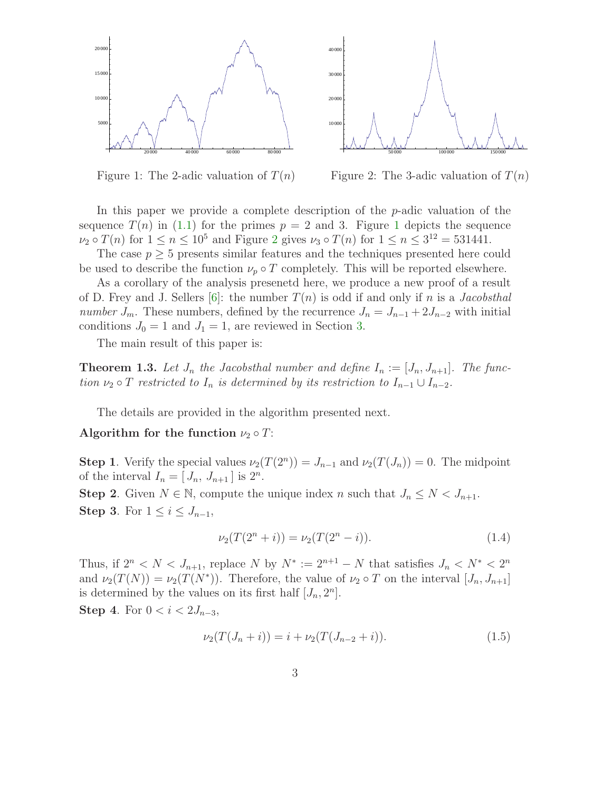



<span id="page-2-0"></span>Figure 1: The 2-adic valuation of  $T(n)$ 

<span id="page-2-1"></span>Figure 2: The 3-adic valuation of  $T(n)$ 

In this paper we provide a complete description of the  $p$ -adic valuation of the sequence  $T(n)$  in [\(1.1\)](#page-0-0) for the primes  $p = 2$  and 3. Figure [1](#page-2-0) depicts the sequence  $\nu_2 \circ T(n)$  $\nu_2 \circ T(n)$  $\nu_2 \circ T(n)$  for  $1 \le n \le 10^5$  and Figure 2 gives  $\nu_3 \circ T(n)$  for  $1 \le n \le 3^{12} = 531441$ .

The case  $p \geq 5$  presents similar features and the techniques presented here could be used to describe the function  $\nu_p \circ T$  completely. This will be reported elsewhere.

As a corollary of the analysis presenetd here, we produce a new proof of a result of D. Frey and J. Sellers [\[6\]](#page-22-7): the number  $T(n)$  is odd if and only if n is a *Jacobsthal number*  $J_m$ . These numbers, defined by the recurrence  $J_n = J_{n-1} + 2J_{n-2}$  with initial conditions  $J_0 = 1$  and  $J_1 = 1$ , are reviewed in Section [3.](#page-5-0)

The main result of this paper is:

<span id="page-2-2"></span>**Theorem 1.3.** Let  $J_n$  the Jacobsthal number and define  $I_n := [J_n, J_{n+1}]$ . The function  $\nu_2 \circ T$  restricted to  $I_n$  is determined by its restriction to  $I_{n-1} \cup I_{n-2}$ .

The details are provided in the algorithm presented next.

#### Algorithm for the function  $\nu_2 \circ T$ :

**Step 1**. Verify the special values  $\nu_2(T(2^n)) = J_{n-1}$  and  $\nu_2(T(J_n)) = 0$ . The midpoint of the interval  $I_n = [J_n, J_{n+1}]$  is  $2^n$ .

**Step 2**. Given  $N \in \mathbb{N}$ , compute the unique index n such that  $J_n \leq N < J_{n+1}$ . Step 3. For  $1 \leq i \leq J_{n-1}$ ,

$$
\nu_2(T(2^n+i)) = \nu_2(T(2^n-i)).\tag{1.4}
$$

Thus, if  $2^n < N < J_{n+1}$ , replace N by  $N^* := 2^{n+1} - N$  that satisfies  $J_n < N^* < 2^n$ and  $\nu_2(T(N)) = \nu_2(T(N^*))$ . Therefore, the value of  $\nu_2 \circ T$  on the interval  $[J_n, J_{n+1}]$ is determined by the values on its first half  $[J_n, 2^n]$ . Step 4. For  $0 < i < 2J_{n-3}$ ,

$$
\nu_2(T(J_n+i)) = i + \nu_2(T(J_{n-2}+i)).\tag{1.5}
$$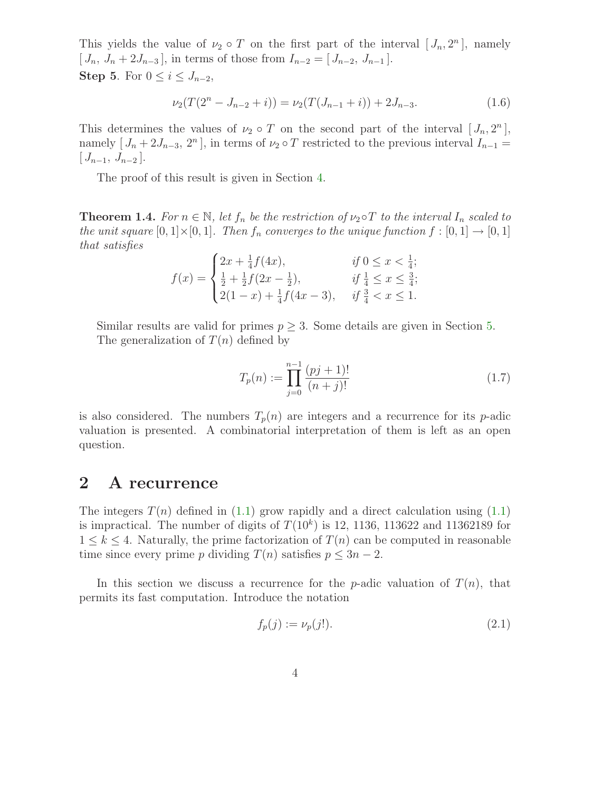This yields the value of  $\nu_2 \circ T$  on the first part of the interval  $[J_n, 2^n]$ , namely  $[J_n, J_n + 2J_{n-3}]$ , in terms of those from  $I_{n-2} = [J_{n-2}, J_{n-1}]$ . Step 5. For  $0 \leq i \leq J_{n-2}$ ,

$$
\nu_2(T(2^n - J_{n-2} + i)) = \nu_2(T(J_{n-1} + i)) + 2J_{n-3}.
$$
\n(1.6)

This determines the values of  $\nu_2 \circ T$  on the second part of the interval  $[J_n, 2^n]$ , namely  $[J_n + 2J_{n-3}, 2^n]$ , in terms of  $\nu_2 \circ T$  restricted to the previous interval  $I_{n-1} =$  $[J_{n-1}, J_{n-2}].$ 

The proof of this result is given in Section [4.](#page-5-1)

<span id="page-3-1"></span>**Theorem 1.4.** For  $n \in \mathbb{N}$ , let  $f_n$  be the restriction of  $\nu_2 \circ T$  to the interval  $I_n$  scaled to the unit square  $[0,1] \times [0,1]$ . Then  $f_n$  converges to the unique function  $f : [0,1] \rightarrow [0,1]$ that satisfies

$$
f(x) = \begin{cases} 2x + \frac{1}{4}f(4x), & \text{if } 0 \le x < \frac{1}{4}; \\ \frac{1}{2} + \frac{1}{2}f(2x - \frac{1}{2}), & \text{if } \frac{1}{4} \le x \le \frac{3}{4}; \\ 2(1-x) + \frac{1}{4}f(4x - 3), & \text{if } \frac{3}{4} < x \le 1. \end{cases}
$$

Similar results are valid for primes  $p \geq 3$ . Some details are given in Section [5.](#page-15-0) The generalization of  $T(n)$  defined by

$$
T_p(n) := \prod_{j=0}^{n-1} \frac{(pj+1)!}{(n+j)!}
$$
\n(1.7)

is also considered. The numbers  $T_p(n)$  are integers and a recurrence for its p-adic valuation is presented. A combinatorial interpretation of them is left as an open question.

### 2 A recurrence

The integers  $T(n)$  defined in [\(1.1\)](#page-0-0) grow rapidly and a direct calculation using (1.1) is impractical. The number of digits of  $T(10<sup>k</sup>)$  is 12, 1136, 113622 and 11362189 for  $1 \leq k \leq 4$ . Naturally, the prime factorization of  $T(n)$  can be computed in reasonable time since every prime p dividing  $T(n)$  satisfies  $p \leq 3n - 2$ .

<span id="page-3-0"></span>In this section we discuss a recurrence for the *p*-adic valuation of  $T(n)$ , that permits its fast computation. Introduce the notation

$$
f_p(j) := \nu_p(j!). \tag{2.1}
$$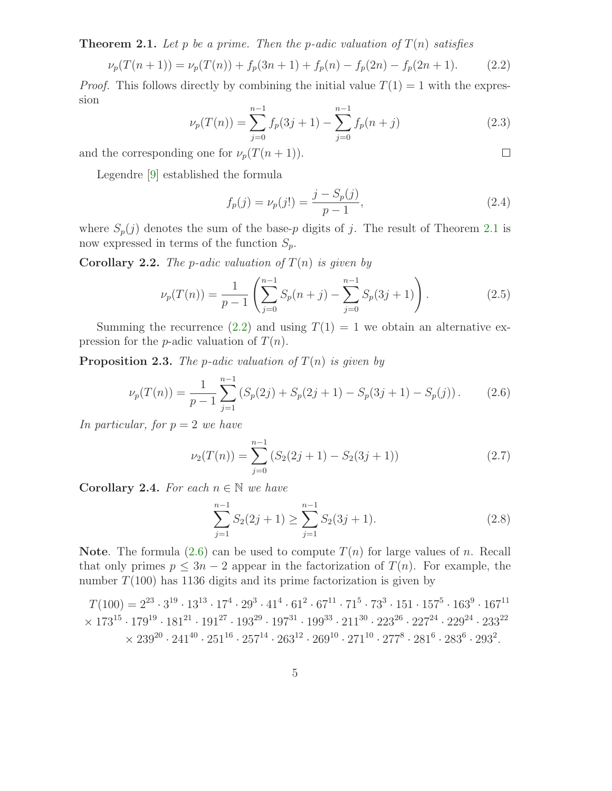**Theorem 2.1.** Let p be a prime. Then the p-adic valuation of  $T(n)$  satisfies

$$
\nu_p(T(n+1)) = \nu_p(T(n)) + f_p(3n+1) + f_p(n) - f_p(2n) - f_p(2n+1). \tag{2.2}
$$

*Proof.* This follows directly by combining the initial value  $T(1) = 1$  with the expression

$$
\nu_p(T(n)) = \sum_{j=0}^{n-1} f_p(3j+1) - \sum_{j=0}^{n-1} f_p(n+j)
$$
\n(2.3)

and the corresponding one for  $\nu_p(T(n+1))$ .

Legendre [\[9\]](#page-22-8) established the formula

$$
f_p(j) = \nu_p(j!) = \frac{j - S_p(j)}{p - 1},\tag{2.4}
$$

<span id="page-4-0"></span> $\Box$ 

where  $S_p(j)$  denotes the sum of the base-p digits of j. The result of Theorem [2.1](#page-3-0) is now expressed in terms of the function  $S_p$ .

**Corollary 2.2.** The p-adic valuation of  $T(n)$  is given by

$$
\nu_p(T(n)) = \frac{1}{p-1} \left( \sum_{j=0}^{n-1} S_p(n+j) - \sum_{j=0}^{n-1} S_p(3j+1) \right). \tag{2.5}
$$

<span id="page-4-3"></span>Summing the recurrence [\(2.2\)](#page-4-0) and using  $T(1) = 1$  we obtain an alternative expression for the *p*-adic valuation of  $T(n)$ .

**Proposition 2.3.** The p-adic valuation of  $T(n)$  is given by

$$
\nu_p(T(n)) = \frac{1}{p-1} \sum_{j=1}^{n-1} \left( S_p(2j) + S_p(2j+1) - S_p(3j+1) - S_p(j) \right). \tag{2.6}
$$

In particular, for  $p = 2$  we have

<span id="page-4-2"></span><span id="page-4-1"></span>
$$
\nu_2(T(n)) = \sum_{j=0}^{n-1} \left( S_2(2j+1) - S_2(3j+1) \right) \tag{2.7}
$$

Corollary 2.4. For each  $n \in \mathbb{N}$  we have

$$
\sum_{j=1}^{n-1} S_2(2j+1) \ge \sum_{j=1}^{n-1} S_2(3j+1). \tag{2.8}
$$

**Note.** The formula  $(2.6)$  can be used to compute  $T(n)$  for large values of n. Recall that only primes  $p \leq 3n - 2$  appear in the factorization of  $T(n)$ . For example, the number  $T(100)$  has 1136 digits and its prime factorization is given by

$$
T(100) = 2^{23} \cdot 3^{19} \cdot 13^{13} \cdot 17^4 \cdot 29^3 \cdot 41^4 \cdot 61^2 \cdot 67^{11} \cdot 71^5 \cdot 73^3 \cdot 151 \cdot 157^5 \cdot 163^9 \cdot 167^{11} \times 173^{15} \cdot 179^{19} \cdot 181^{21} \cdot 191^{27} \cdot 193^{29} \cdot 197^{31} \cdot 199^{33} \cdot 211^{30} \cdot 223^{26} \cdot 227^{24} \cdot 229^{24} \cdot 233^{22} \times 239^{20} \cdot 241^{40} \cdot 251^{16} \cdot 257^{14} \cdot 263^{12} \cdot 269^{10} \cdot 271^{10} \cdot 277^8 \cdot 281^6 \cdot 283^6 \cdot 293^2.
$$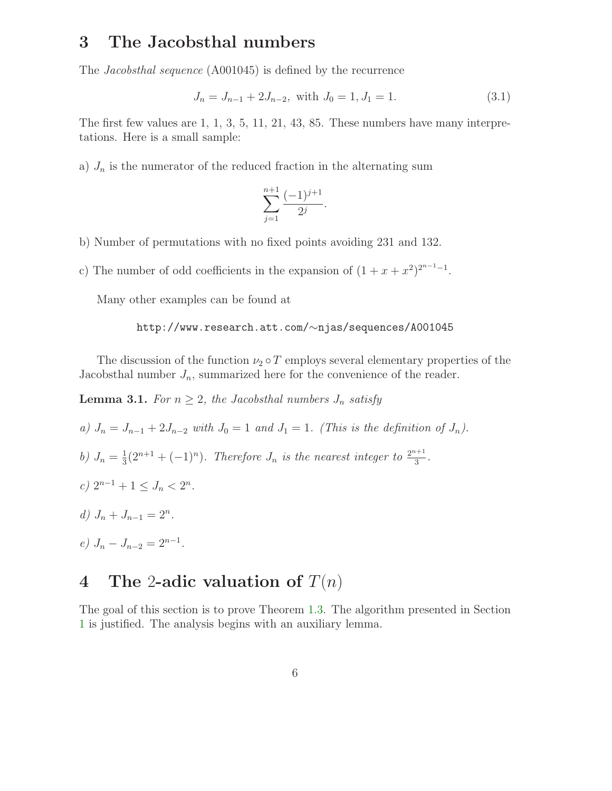### <span id="page-5-0"></span>3 The Jacobsthal numbers

The Jacobsthal sequence (A001045) is defined by the recurrence

$$
J_n = J_{n-1} + 2J_{n-2}, \text{ with } J_0 = 1, J_1 = 1. \tag{3.1}
$$

The first few values are 1, 1, 3, 5, 11, 21, 43, 85. These numbers have many interpretations. Here is a small sample:

a)  $J_n$  is the numerator of the reduced fraction in the alternating sum

$$
\sum_{j=1}^{n+1} \frac{(-1)^{j+1}}{2^j}.
$$

- b) Number of permutations with no fixed points avoiding 231 and 132.
- c) The number of odd coefficients in the expansion of  $(1 + x + x^2)^{2^{n-1}-1}$ .

Many other examples can be found at

#### http://www.research.att.com/∼njas/sequences/A001045

<span id="page-5-3"></span>The discussion of the function  $\nu_2 \circ T$  employs several elementary properties of the Jacobsthal number  $J_n$ , summarized here for the convenience of the reader.

**Lemma 3.1.** For  $n \geq 2$ , the Jacobsthal numbers  $J_n$  satisfy

- a)  $J_n = J_{n-1} + 2J_{n-2}$  with  $J_0 = 1$  and  $J_1 = 1$ . (This is the definition of  $J_n$ ).
- b)  $J_n = \frac{1}{3}$  $\frac{1}{3}(2^{n+1} + (-1)^n)$ . Therefore  $J_n$  is the nearest integer to  $\frac{2^{n+1}}{3}$  $rac{1}{3}$ .
- c)  $2^{n-1} + 1 \leq J_n < 2^n$ .
- d)  $J_n + J_{n-1} = 2^n$ .
- $e) J_n J_{n-2} = 2^{n-1}.$

### <span id="page-5-1"></span>4 The 2-adic valuation of  $T(n)$

<span id="page-5-2"></span>The goal of this section is to prove Theorem [1.3.](#page-2-2) The algorithm presented in Section [1](#page-0-1) is justified. The analysis begins with an auxiliary lemma.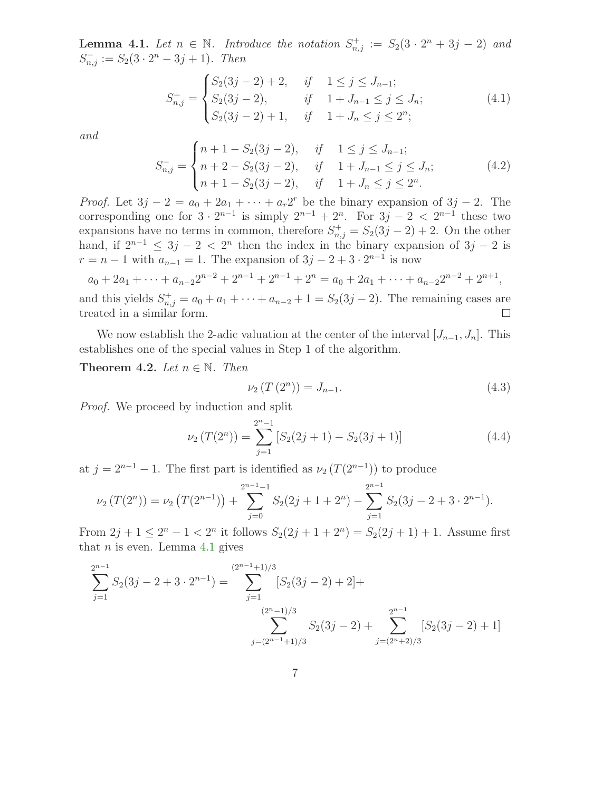**Lemma 4.1.** Let  $n \in \mathbb{N}$ . Introduce the notation  $S^+_{n,j} := S_2(3 \cdot 2^n + 3j - 2)$  and  $S_{n,j}^- := S_2(3 \cdot 2^n - 3j + 1)$ . Then

$$
S_{n,j}^{+} = \begin{cases} S_2(3j-2) + 2, & if \quad 1 \le j \le J_{n-1};\\ S_2(3j-2), & if \quad 1 + J_{n-1} \le j \le J_n;\\ S_2(3j-2) + 1, & if \quad 1 + J_n \le j \le 2^n; \end{cases}
$$
(4.1)

and

$$
S_{n,j}^{-} = \begin{cases} n+1-S_2(3j-2), & if \quad 1 \le j \le J_{n-1};\\ n+2-S_2(3j-2), & if \quad 1+J_{n-1} \le j \le J_n;\\ n+1-S_2(3j-2), & if \quad 1+J_n \le j \le 2^n. \end{cases}
$$
(4.2)

*Proof.* Let  $3j - 2 = a_0 + 2a_1 + \cdots + a_r 2^r$  be the binary expansion of  $3j - 2$ . The corresponding one for  $3 \cdot 2^{n-1}$  is simply  $2^{n-1} + 2^n$ . For  $3j - 2 < 2^{n-1}$  these two expansions have no terms in common, therefore  $S_{n,j}^+ = S_2(3j - 2) + 2$ . On the other hand, if  $2^{n-1} \leq 3j - 2 < 2^n$  then the index in the binary expansion of  $3j - 2$  is  $r = n - 1$  with  $a_{n-1} = 1$ . The expansion of  $3j - 2 + 3 \cdot 2^{n-1}$  is now

$$
a_0 + 2a_1 + \dots + a_{n-2}2^{n-2} + 2^{n-1} + 2^{n-1} + 2^n = a_0 + 2a_1 + \dots + a_{n-2}2^{n-2} + 2^{n+1},
$$

and this yields  $S_{n,j}^{+} = a_0 + a_1 + \cdots + a_{n-2} + 1 = S_2(3j - 2)$ . The remaining cases are treated in a similar form.  $\Box$ 

<span id="page-6-0"></span>We now establish the 2-adic valuation at the center of the interval  $[J_{n-1},J_n]$ . This establishes one of the special values in Step 1 of the algorithm.

Theorem 4.2. Let  $n \in \mathbb{N}$ . Then

$$
\nu_2(T(2^n)) = J_{n-1}.
$$
\n(4.3)

Proof. We proceed by induction and split

$$
\nu_2(T(2^n)) = \sum_{j=1}^{2^n - 1} \left[ S_2(2j+1) - S_2(3j+1) \right]
$$
 (4.4)

at  $j = 2^{n-1} - 1$ . The first part is identified as  $\nu_2(T(2^{n-1}))$  to produce

$$
\nu_2(T(2^n)) = \nu_2(T(2^{n-1})) + \sum_{j=0}^{2^{n-1}-1} S_2(2j+1+2^n) - \sum_{j=1}^{2^{n-1}} S_2(3j-2+3\cdot 2^{n-1}).
$$

From  $2j + 1 \leq 2^n - 1 < 2^n$  it follows  $S_2(2j + 1 + 2^n) = S_2(2j + 1) + 1$ . Assume first that  $n$  is even. Lemma [4.1](#page-5-2) gives

$$
\sum_{j=1}^{2^{n-1}} S_2(3j - 2 + 3 \cdot 2^{n-1}) = \sum_{j=1}^{(2^{n-1}+1)/3} [S_2(3j - 2) + 2] +
$$
  

$$
\sum_{j=(2^{n-1}+1)/3}^{(2^{n}-1)/3} S_2(3j - 2) + \sum_{j=(2^{n}+2)/3}^{2^{n-1}} [S_2(3j - 2) + 1]
$$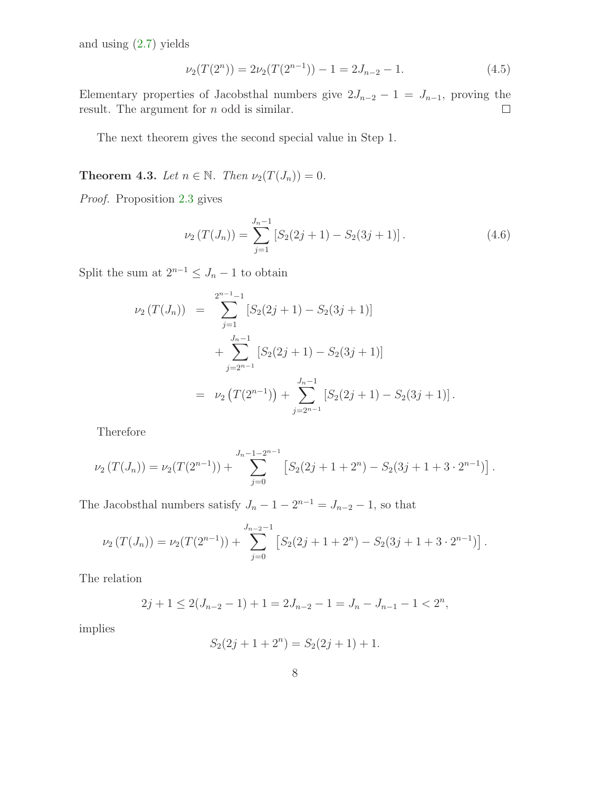and using [\(2.7\)](#page-4-2) yields

$$
\nu_2(T(2^n)) = 2\nu_2(T(2^{n-1})) - 1 = 2J_{n-2} - 1.
$$
\n(4.5)

Elementary properties of Jacobsthal numbers give  $2J_{n-2} - 1 = J_{n-1}$ , proving the result. The argument for *n* odd is similar.  $\Box$ 

The next theorem gives the second special value in Step 1.

<span id="page-7-0"></span>**Theorem 4.3.** Let  $n \in \mathbb{N}$ . Then  $\nu_2(T(J_n)) = 0$ .

Proof. Proposition [2.3](#page-4-3) gives

$$
\nu_2(T(J_n)) = \sum_{j=1}^{J_n - 1} \left[ S_2(2j + 1) - S_2(3j + 1) \right]. \tag{4.6}
$$

Split the sum at  $2^{n-1} \leq J_n - 1$  to obtain

$$
\nu_2(T(J_n)) = \sum_{j=1}^{2^{n-1}-1} [S_2(2j+1) - S_2(3j+1)]
$$
  
+ 
$$
\sum_{j=2^{n-1}}^{J_n-1} [S_2(2j+1) - S_2(3j+1)]
$$
  
= 
$$
\nu_2(T(2^{n-1})) + \sum_{j=2^{n-1}}^{J_n-1} [S_2(2j+1) - S_2(3j+1)].
$$

Therefore

$$
\nu_2(T(J_n)) = \nu_2(T(2^{n-1})) + \sum_{j=0}^{J_n-1-2^{n-1}} \left[ S_2(2j+1+2^n) - S_2(3j+1+3\cdot 2^{n-1}) \right].
$$

The Jacobsthal numbers satisfy  $J_n - 1 - 2^{n-1} = J_{n-2} - 1$ , so that

$$
\nu_2(T(J_n)) = \nu_2(T(2^{n-1})) + \sum_{j=0}^{J_{n-2}-1} \left[ S_2(2j+1+2^n) - S_2(3j+1+3\cdot 2^{n-1}) \right].
$$

The relation

$$
2j + 1 \le 2(J_{n-2} - 1) + 1 = 2J_{n-2} - 1 = J_n - J_{n-1} - 1 < 2^n,
$$

implies

$$
S_2(2j + 1 + 2n) = S_2(2j + 1) + 1.
$$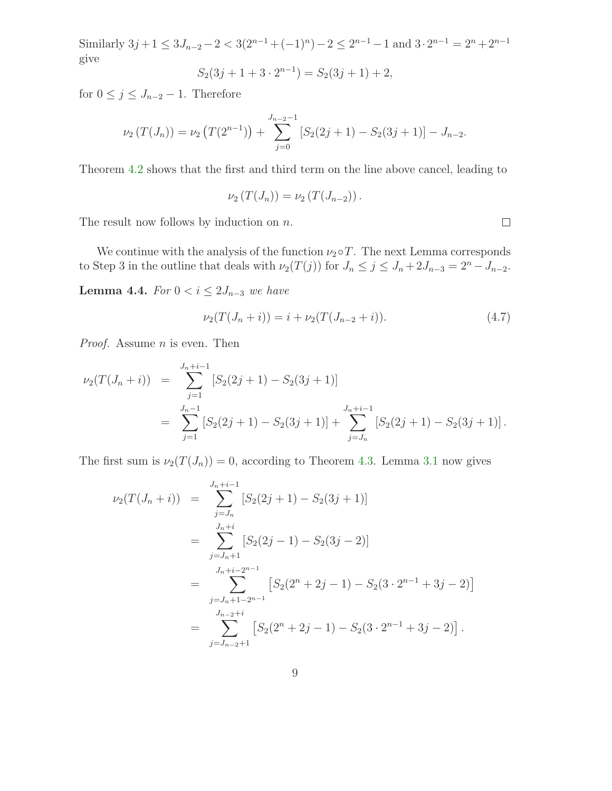Similarly  $3j + 1 \leq 3J_{n-2} - 2 < 3(2^{n-1} + (-1)^n) - 2 \leq 2^{n-1} - 1$  and  $3 \cdot 2^{n-1} = 2^n + 2^{n-1}$ give

$$
S_2(3j + 1 + 3 \cdot 2^{n-1}) = S_2(3j + 1) + 2,
$$

for  $0 \leq j \leq J_{n-2} - 1$ . Therefore

$$
\nu_2(T(J_n)) = \nu_2(T(2^{n-1})) + \sum_{j=0}^{J_{n-2}-1} [S_2(2j+1) - S_2(3j+1)] - J_{n-2}.
$$

Theorem [4.2](#page-6-0) shows that the first and third term on the line above cancel, leading to

$$
\nu_2(T(J_n)) = \nu_2(T(J_{n-2})).
$$

The result now follows by induction on  $n$ .

We continue with the analysis of the function  $\nu_2 \circ T$ . The next Lemma corresponds to Step 3 in the outline that deals with  $\nu_2(T(j))$  for  $J_n \leq j \leq J_n + 2J_{n-3} = 2^n - J_{n-2}$ .

**Lemma 4.4.** For  $0 < i \leq 2J_{n-3}$  we have

$$
\nu_2(T(J_n+i)) = i + \nu_2(T(J_{n-2}+i)). \tag{4.7}
$$

*Proof.* Assume  $n$  is even. Then

$$
\nu_2(T(J_n+i)) = \sum_{j=1}^{J_n+i-1} [S_2(2j+1) - S_2(3j+1)]
$$
  
= 
$$
\sum_{j=1}^{J_n-1} [S_2(2j+1) - S_2(3j+1)] + \sum_{j=J_n}^{J_n+i-1} [S_2(2j+1) - S_2(3j+1)].
$$

The first sum is  $\nu_2(T(J_n)) = 0$ , according to Theorem [4.3.](#page-7-0) Lemma [3.1](#page-5-3) now gives

$$
\nu_2(T(J_n+i)) = \sum_{j=J_n}^{J_n+i-1} [S_2(2j+1) - S_2(3j+1)]
$$
  
\n
$$
= \sum_{j=J_n+1}^{J_n+i} [S_2(2j-1) - S_2(3j-2)]
$$
  
\n
$$
= \sum_{j=J_n+1-2^{n-1}}^{J_n+i-2^{n-1}} [S_2(2^n+2j-1) - S_2(3 \cdot 2^{n-1} + 3j-2)]
$$
  
\n
$$
= \sum_{j=J_{n-2}+i}^{J_{n-2}+i} [S_2(2^n+2j-1) - S_2(3 \cdot 2^{n-1} + 3j-2)].
$$

 $\Box$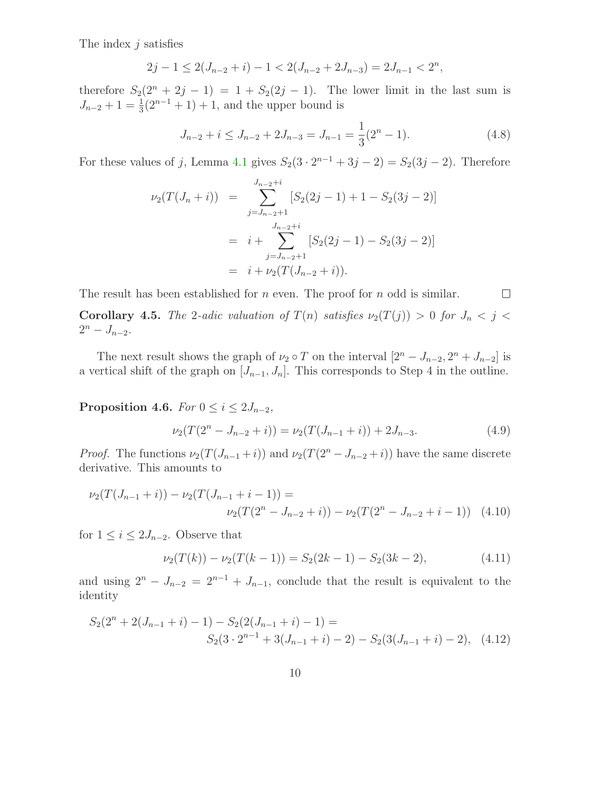The index  $j$  satisfies

$$
2j - 1 \le 2(J_{n-2} + i) - 1 < 2(J_{n-2} + 2J_{n-3}) = 2J_{n-1} < 2^n,
$$

therefore  $S_2(2^n + 2j - 1) = 1 + S_2(2j - 1)$ . The lower limit in the last sum is  $J_{n-2} + 1 = \frac{1}{3}(2^{n-1} + 1) + 1$ , and the upper bound is

$$
J_{n-2} + i \le J_{n-2} + 2J_{n-3} = J_{n-1} = \frac{1}{3}(2^n - 1).
$$
 (4.8)

For these values of j, Lemma [4.1](#page-5-2) gives  $S_2(3 \cdot 2^{n-1} + 3j - 2) = S_2(3j - 2)$ . Therefore

$$
\nu_2(T(J_n+i)) = \sum_{j=J_{n-2}+1}^{J_{n-2}+i} [S_2(2j-1)+1-S_2(3j-2)]
$$
  
=  $i+\sum_{j=J_{n-2}+1}^{J_{n-2}+i} [S_2(2j-1)-S_2(3j-2)]$   
=  $i+\nu_2(T(J_{n-2}+i)).$ 

The result has been established for  $n$  even. The proof for  $n$  odd is similar.  $\Box$ Corollary 4.5. The 2-adic valuation of  $T(n)$  satisfies  $\nu_2(T(j)) > 0$  for  $J_n < j <$  $2^n - J_{n-2}$ .

The next result shows the graph of  $\nu_2 \circ T$  on the interval  $[2^n - J_{n-2}, 2^n + J_{n-2}]$  is a vertical shift of the graph on  $[J_{n-1}, J_n]$ . This corresponds to Step 4 in the outline.

Proposition 4.6. For  $0 \le i \le 2J_{n-2}$ ,

$$
\nu_2(T(2^n - J_{n-2} + i)) = \nu_2(T(J_{n-1} + i)) + 2J_{n-3}.
$$
\n(4.9)

*Proof.* The functions  $\nu_2(T(J_{n-1}+i))$  and  $\nu_2(T(2^n-J_{n-2}+i))$  have the same discrete derivative. This amounts to

$$
\nu_2(T(J_{n-1}+i)) - \nu_2(T(J_{n-1}+i-1)) =
$$
  

$$
\nu_2(T(2^n - J_{n-2}+i)) - \nu_2(T(2^n - J_{n-2}+i-1))
$$
 (4.10)

for  $1 \leq i \leq 2J_{n-2}$ . Observe that

<span id="page-9-0"></span>
$$
\nu_2(T(k)) - \nu_2(T(k-1)) = S_2(2k-1) - S_2(3k-2),\tag{4.11}
$$

and using  $2^{n} - J_{n-2} = 2^{n-1} + J_{n-1}$ , conclude that the result is equivalent to the identity

$$
S_2(2^n + 2(J_{n-1} + i) - 1) - S_2(2(J_{n-1} + i) - 1) =
$$
  

$$
S_2(3 \cdot 2^{n-1} + 3(J_{n-1} + i) - 2) - S_2(3(J_{n-1} + i) - 2), \quad (4.12)
$$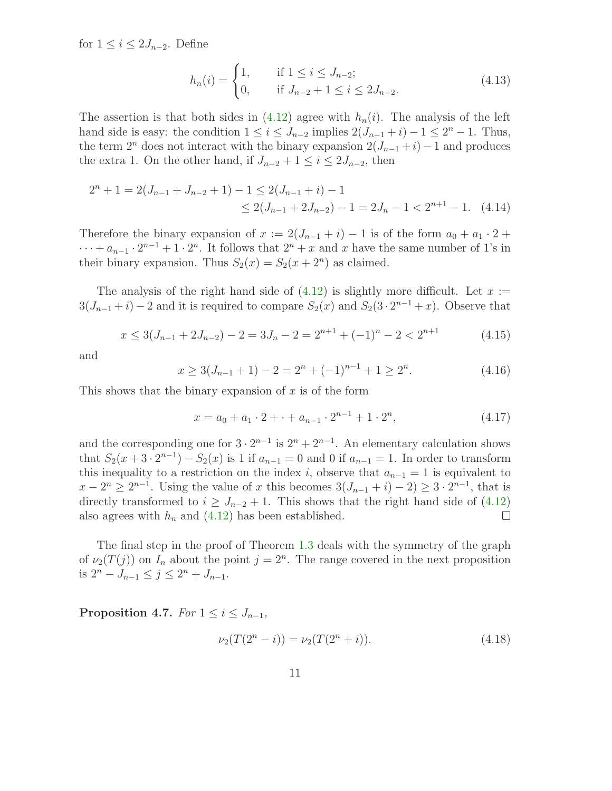for  $1 \leq i \leq 2J_{n-2}$ . Define

$$
h_n(i) = \begin{cases} 1, & \text{if } 1 \le i \le J_{n-2}; \\ 0, & \text{if } J_{n-2} + 1 \le i \le 2J_{n-2}. \end{cases} \tag{4.13}
$$

The assertion is that both sides in  $(4.12)$  agree with  $h_n(i)$ . The analysis of the left hand side is easy: the condition  $1 \leq i \leq J_{n-2}$  implies  $2(J_{n-1} + i) - 1 \leq 2^{n} - 1$ . Thus, the term  $2^n$  does not interact with the binary expansion  $2(J_{n-1}+i)-1$  and produces the extra 1. On the other hand, if  $J_{n-2} + 1 \leq i \leq 2J_{n-2}$ , then

$$
2^{n} + 1 = 2(J_{n-1} + J_{n-2} + 1) - 1 \le 2(J_{n-1} + i) - 1
$$
  
 
$$
\le 2(J_{n-1} + 2J_{n-2}) - 1 = 2J_{n} - 1 < 2^{n+1} - 1.
$$
 (4.14)

Therefore the binary expansion of  $x := 2(J_{n-1} + i) - 1$  is of the form  $a_0 + a_1 \cdot 2 +$  $\cdots + a_{n-1} \cdot 2^{n-1} + 1 \cdot 2^n$ . It follows that  $2^n + x$  and x have the same number of 1's in their binary expansion. Thus  $S_2(x) = S_2(x + 2^n)$  as claimed.

The analysis of the right hand side of  $(4.12)$  is slightly more difficult. Let  $x :=$  $3(J_{n-1}+i)-2$  and it is required to compare  $S_2(x)$  and  $S_2(3\cdot 2^{n-1}+x)$ . Observe that

$$
x \le 3(J_{n-1} + 2J_{n-2}) - 2 = 3J_n - 2 = 2^{n+1} + (-1)^n - 2 < 2^{n+1} \tag{4.15}
$$

and

$$
x \ge 3(J_{n-1} + 1) - 2 = 2^{n} + (-1)^{n-1} + 1 \ge 2^{n}.
$$
\n(4.16)

This shows that the binary expansion of  $x$  is of the form

$$
x = a_0 + a_1 \cdot 2 + \dots + a_{n-1} \cdot 2^{n-1} + 1 \cdot 2^n, \tag{4.17}
$$

and the corresponding one for  $3 \cdot 2^{n-1}$  is  $2^n + 2^{n-1}$ . An elementary calculation shows that  $S_2(x+3\cdot 2^{n-1}) - S_2(x)$  is 1 if  $a_{n-1} = 0$  and 0 if  $a_{n-1} = 1$ . In order to transform this inequality to a restriction on the index i, observe that  $a_{n-1} = 1$  is equivalent to  $x - 2^{n} \ge 2^{n-1}$ . Using the value of x this becomes  $3(J_{n-1} + i) - 2 \ge 3 \cdot 2^{n-1}$ , that is directly transformed to  $i \geq J_{n-2} + 1$ . This shows that the right hand side of [\(4.12\)](#page-9-0) also agrees with  $h_n$  and  $(4.12)$  has been established.  $\Box$ 

The final step in the proof of Theorem [1.3](#page-2-2) deals with the symmetry of the graph of  $\nu_2(T(j))$  on  $I_n$  about the point  $j = 2^n$ . The range covered in the next proposition is  $2^n - J_{n-1} \le j \le 2^n + J_{n-1}$ .

Proposition 4.7. For  $1 \leq i \leq J_{n-1}$ ,

$$
\nu_2(T(2^n - i)) = \nu_2(T(2^n + i)).\tag{4.18}
$$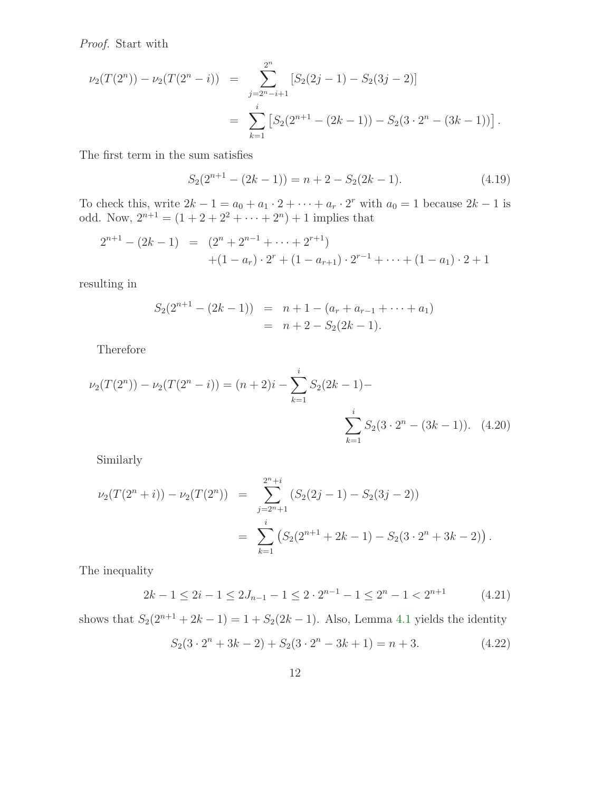Proof. Start with

$$
\nu_2(T(2^n)) - \nu_2(T(2^n - i)) = \sum_{\substack{j=2^{n-1}+1}}^{2^n} [S_2(2j-1) - S_2(3j-2)]
$$
  
= 
$$
\sum_{k=1}^i [S_2(2^{n+1} - (2k-1)) - S_2(3 \cdot 2^n - (3k-1))].
$$

The first term in the sum satisfies

$$
S_2(2^{n+1} - (2k - 1)) = n + 2 - S_2(2k - 1).
$$
 (4.19)

To check this, write  $2k - 1 = a_0 + a_1 \cdot 2 + \cdots + a_r \cdot 2^r$  with  $a_0 = 1$  because  $2k - 1$  is odd. Now,  $2^{n+1} = (1 + 2 + 2^2 + \cdots + 2^n) + 1$  implies that

$$
2^{n+1} - (2k - 1) = (2^n + 2^{n-1} + \dots + 2^{r+1})
$$
  
+ (1 - a<sub>r</sub>) \cdot 2<sup>r</sup> + (1 - a<sub>r+1</sub>) \cdot 2<sup>r-1</sup> + \dots + (1 - a<sub>1</sub>) \cdot 2 + 1

resulting in

$$
S_2(2^{n+1} - (2k-1)) = n+1 - (a_r + a_{r-1} + \dots + a_1)
$$
  
=  $n+2 - S_2(2k-1)$ .

Therefore

$$
\nu_2(T(2^n)) - \nu_2(T(2^n - i)) = (n + 2)i - \sum_{k=1}^i S_2(2k - 1) - \sum_{k=1}^i S_2(3 \cdot 2^n - (3k - 1)). \tag{4.20}
$$

Similarly

$$
\nu_2(T(2^n+i)) - \nu_2(T(2^n)) = \sum_{j=2^n+1}^{2^n+i} (S_2(2j-1) - S_2(3j-2))
$$
  
= 
$$
\sum_{k=1}^i (S_2(2^{n+1}+2k-1) - S_2(3 \cdot 2^n + 3k-2)).
$$

The inequality

$$
2k - 1 \le 2i - 1 \le 2J_{n-1} - 1 \le 2 \cdot 2^{n-1} - 1 \le 2^n - 1 < 2^{n+1} \tag{4.21}
$$

shows that  $S_2(2^{n+1} + 2k - 1) = 1 + S_2(2k - 1)$ . Also, Lemma [4.1](#page-5-2) yields the identity

<span id="page-11-0"></span>
$$
S_2(3 \cdot 2^n + 3k - 2) + S_2(3 \cdot 2^n - 3k + 1) = n + 3. \tag{4.22}
$$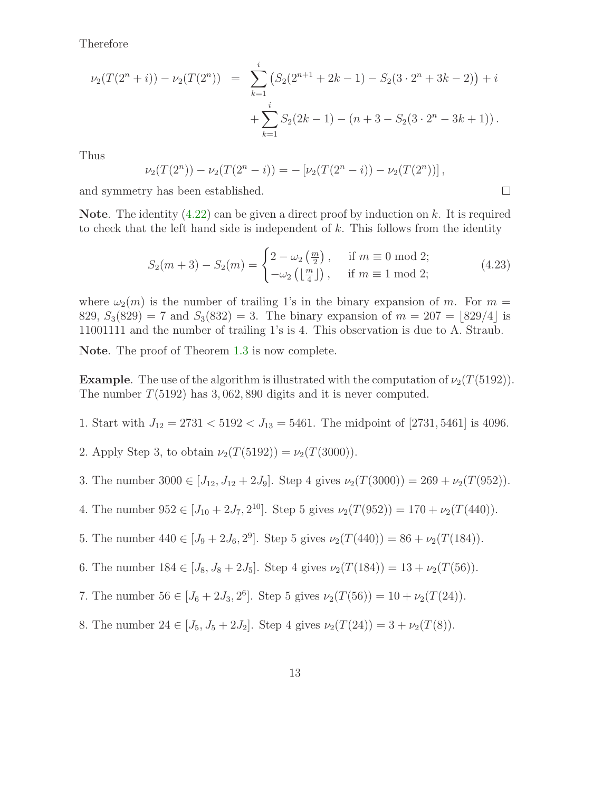Therefore

$$
\nu_2(T(2^n+i)) - \nu_2(T(2^n)) = \sum_{k=1}^i (S_2(2^{n+1}+2k-1) - S_2(3 \cdot 2^n + 3k-2)) + i
$$
  
+ 
$$
\sum_{k=1}^i S_2(2k-1) - (n+3-S_2(3 \cdot 2^n - 3k+1)).
$$

Thus

$$
\nu_2(T(2^n)) - \nu_2(T(2^n - i)) = -[\nu_2(T(2^n - i)) - \nu_2(T(2^n))],
$$

and symmetry has been established.

**Note.** The identity  $(4.22)$  can be given a direct proof by induction on k. It is required to check that the left hand side is independent of  $k$ . This follows from the identity

$$
S_2(m+3) - S_2(m) = \begin{cases} 2 - \omega_2\left(\frac{m}{2}\right), & \text{if } m \equiv 0 \mod 2; \\ -\omega_2\left(\frac{m}{4}\right), & \text{if } m \equiv 1 \mod 2; \end{cases}
$$
(4.23)

 $\Box$ 

where  $\omega_2(m)$  is the number of trailing 1's in the binary expansion of m. For  $m =$ 829,  $S_3(829) = 7$  and  $S_3(832) = 3$ . The binary expansion of  $m = 207 = |829/4|$  is 11001111 and the number of trailing 1's is 4. This observation is due to A. Straub.

Note. The proof of Theorem [1.3](#page-2-2) is now complete.

**Example.** The use of the algorithm is illustrated with the computation of  $\nu_2(T(5192))$ . The number  $T(5192)$  has 3,062,890 digits and it is never computed.

1. Start with  $J_{12} = 2731 < 5192 < J_{13} = 5461$ . The midpoint of [2731, 5461] is 4096.

2. Apply Step 3, to obtain  $\nu_2(T(5192)) = \nu_2(T(3000))$ .

- 3. The number  $3000 \in [J_{12}, J_{12} + 2J_9]$ . Step 4 gives  $\nu_2(T(3000)) = 269 + \nu_2(T(952))$ .
- 4. The number  $952 \in [J_{10} + 2J_7, 2^{10}]$ . Step 5 gives  $\nu_2(T(952)) = 170 + \nu_2(T(440))$ .
- 5. The number  $440 \in [J_9 + 2J_6, 2^9]$ . Step 5 gives  $\nu_2(T(440)) = 86 + \nu_2(T(184))$ .
- 6. The number  $184 \in [J_8, J_8 + 2J_5]$ . Step 4 gives  $\nu_2(T(184)) = 13 + \nu_2(T(56))$ .
- 7. The number  $56 \in [J_6 + 2J_3, 2^6]$ . Step 5 gives  $\nu_2(T(56)) = 10 + \nu_2(T(24))$ .
- 8. The number  $24 \in [J_5, J_5 + 2J_2]$ . Step 4 gives  $\nu_2(T(24)) = 3 + \nu_2(T(8))$ .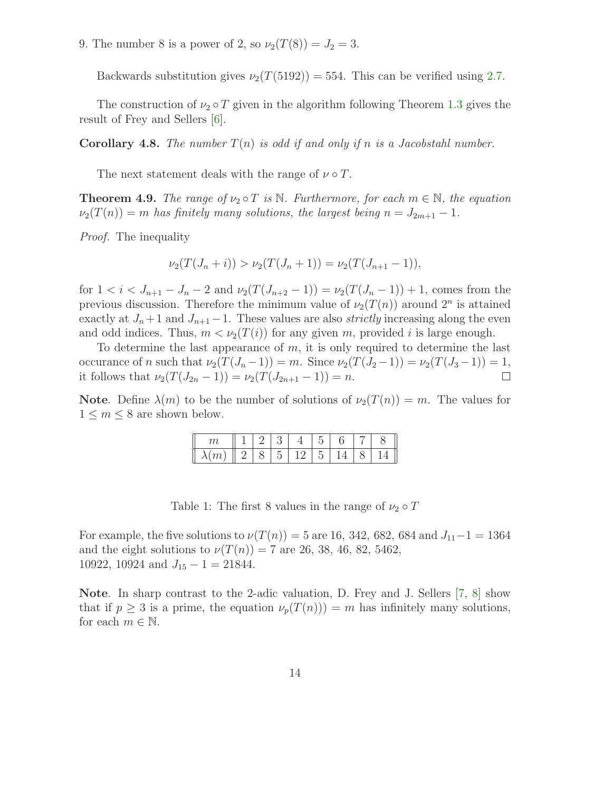9. The number 8 is a power of 2, so  $\nu_2(T(8)) = J_2 = 3$ .

Backwards substitution gives  $\nu_2(T(5192)) = 554$ . This can be verified using [2.7.](#page-4-2)

The construction of  $\nu_2 \circ T$  given in the algorithm following Theorem [1.3](#page-2-2) gives the result of Frey and Sellers [\[6\]](#page-22-7).

**Corollary 4.8.** The number  $T(n)$  is odd if and only if n is a Jacobstahl number.

The next statement deals with the range of  $\nu \circ T$ .

**Theorem 4.9.** The range of  $\nu_2 \circ T$  is N. Furthermore, for each  $m \in \mathbb{N}$ , the equation  $\nu_2(T(n)) = m$  has finitely many solutions, the largest being  $n = J_{2m+1} - 1$ .

Proof. The inequality

$$
\nu_2(T(J_n+i)) > \nu_2(T(J_n+1)) = \nu_2(T(J_{n+1}-1)),
$$

for  $1 < i < J_{n+1} - J_n - 2$  and  $\nu_2(T(J_{n+2} - 1)) = \nu_2(T(J_n - 1)) + 1$ , comes from the previous discussion. Therefore the minimum value of  $\nu_2(T(n))$  around  $2^n$  is attained exactly at  $J_n + 1$  and  $J_{n+1} - 1$ . These values are also *strictly* increasing along the even and odd indices. Thus,  $m < \nu_2(T(i))$  for any given m, provided i is large enough.

To determine the last appearance of  $m$ , it is only required to determine the last occurance of n such that  $\nu_2(T(J_n-1)) = m$ . Since  $\nu_2(T(J_2-1)) = \nu_2(T(J_3-1)) = 1$ , it follows that  $\nu_2(T(J_{2n}-1)) = \nu_2(T(J_{2n+1}-1)) = n$ .  $\Box$ 

**Note.** Define  $\lambda(m)$  to be the number of solutions of  $\nu_2(T(n)) = m$ . The values for  $1 \leq m \leq 8$  are shown below.

| $\sim$        |  |  |  |  |
|---------------|--|--|--|--|
| $\sim$<br>110 |  |  |  |  |

Table 1: The first 8 values in the range of  $\nu_2 \circ T$ 

For example, the five solutions to  $\nu(T(n)) = 5$  are 16, 342, 682, 684 and  $J_{11}-1 = 1364$ and the eight solutions to  $\nu(T(n)) = 7$  are 26, 38, 46, 82, 5462, 10922, 10924 and  $J_{15} - 1 = 21844$ .

Note. In sharp contrast to the 2-adic valuation, D. Frey and J. Sellers [\[7,](#page-22-9) [8\]](#page-22-10) show that if  $p \geq 3$  is a prime, the equation  $\nu_p(T(n)) = m$  has infinitely many solutions, for each  $m \in \mathbb{N}$ .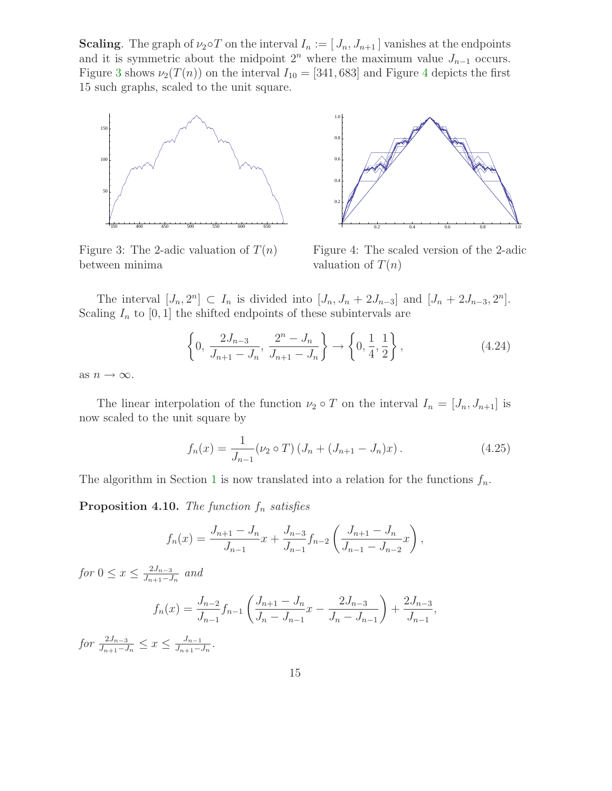**Scaling.** The graph of  $\nu_2 \circ T$  on the interval  $I_n := [J_n, J_{n+1}]$  vanishes at the endpoints and it is symmetric about the midpoint  $2<sup>n</sup>$  where the maximum value  $J_{n-1}$  occurs. Figure [3](#page-14-0) shows  $\nu_2(T(n))$  on the interval  $I_{10} = [341, 683]$  $I_{10} = [341, 683]$  $I_{10} = [341, 683]$  and Figure 4 depicts the first 15 such graphs, scaled to the unit square.

1.0



<span id="page-14-0"></span>Figure 3: The 2-adic valuation of  $T(n)$ between minima



<span id="page-14-1"></span>Figure 4: The scaled version of the 2-adic valuation of  $T(n)$ 

The interval  $[J_n, 2^n] \subset I_n$  is divided into  $[J_n, J_n + 2J_{n-3}]$  and  $[J_n + 2J_{n-3}, 2^n]$ . Scaling  $I_n$  to  $[0, 1]$  the shifted endpoints of these subintervals are

$$
\left\{0, \frac{2J_{n-3}}{J_{n+1} - J_n}, \frac{2^n - J_n}{J_{n+1} - J_n}\right\} \to \left\{0, \frac{1}{4}, \frac{1}{2}\right\},\tag{4.24}
$$

as  $n \to \infty$ .

The linear interpolation of the function  $\nu_2 \circ T$  on the interval  $I_n = [J_n, J_{n+1}]$  is now scaled to the unit square by

$$
f_n(x) = \frac{1}{J_{n-1}} (\nu_2 \circ T) (J_n + (J_{n+1} - J_n)x).
$$
 (4.25)

The algorithm in Section [1](#page-0-1) is now translated into a relation for the functions  $f_n$ .

**Proposition 4.10.** The function  $f_n$  satisfies

$$
f_n(x) = \frac{J_{n+1} - J_n}{J_{n-1}} x + \frac{J_{n-3}}{J_{n-1}} f_{n-2} \left( \frac{J_{n+1} - J_n}{J_{n-1} - J_{n-2}} x \right),
$$

for  $0 \leq x \leq \frac{2J_{n-3}}{J_{n+1}-J_n}$  and

$$
f_n(x) = \frac{J_{n-2}}{J_{n-1}} f_{n-1} \left( \frac{J_{n+1} - J_n}{J_n - J_{n-1}} x - \frac{2J_{n-3}}{J_n - J_{n-1}} \right) + \frac{2J_{n-3}}{J_{n-1}},
$$

for  $\frac{2J_{n-3}}{J_{n+1}-J_n} \leq x \leq \frac{J_{n-1}}{J_{n+1}-J_n}$ .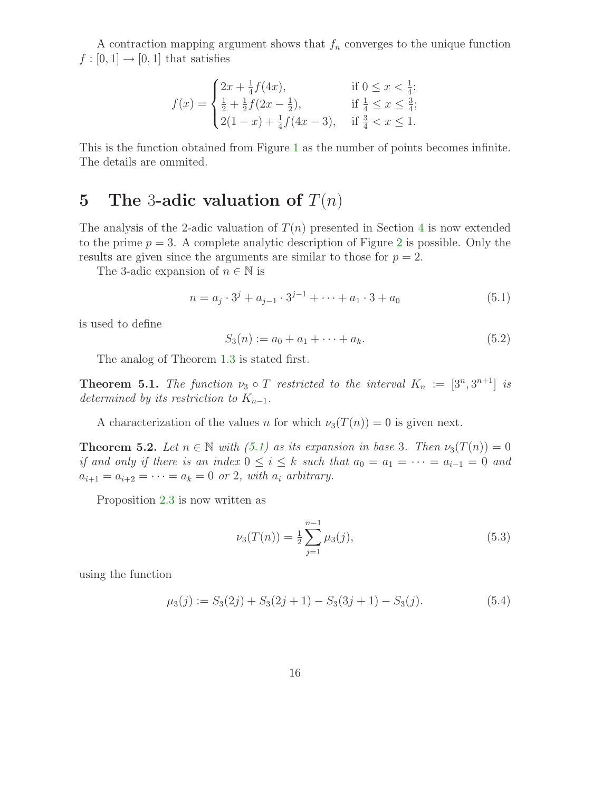A contraction mapping argument shows that  $f_n$  converges to the unique function  $f:[0,1]\to[0,1]$  that satisfies

$$
f(x) = \begin{cases} 2x + \frac{1}{4}f(4x), & \text{if } 0 \le x < \frac{1}{4}; \\ \frac{1}{2} + \frac{1}{2}f(2x - \frac{1}{2}), & \text{if } \frac{1}{4} \le x \le \frac{3}{4}; \\ 2(1-x) + \frac{1}{4}f(4x - 3), & \text{if } \frac{3}{4} < x \le 1. \end{cases}
$$

This is the function obtained from Figure [1](#page-2-0) as the number of points becomes infinite. The details are ommited.

### <span id="page-15-0"></span>5 The 3-adic valuation of  $T(n)$

The analysis of the 2-adic valuation of  $T(n)$  presented in Section [4](#page-5-1) is now extended to the prime  $p = 3$ . A complete analytic description of Figure [2](#page-2-1) is possible. Only the results are given since the arguments are similar to those for  $p = 2$ .

The 3-adic expansion of  $n \in \mathbb{N}$  is

<span id="page-15-1"></span>
$$
n = a_j \cdot 3^j + a_{j-1} \cdot 3^{j-1} + \dots + a_1 \cdot 3 + a_0 \tag{5.1}
$$

is used to define

$$
S_3(n) := a_0 + a_1 + \dots + a_k. \tag{5.2}
$$

The analog of Theorem [1.3](#page-2-2) is stated first.

**Theorem 5.1.** The function  $\nu_3 \circ T$  restricted to the interval  $K_n := [3^n, 3^{n+1}]$  is determined by its restriction to  $K_{n-1}$ .

A characterization of the values n for which  $\nu_3(T(n)) = 0$  is given next.

**Theorem 5.2.** Let  $n \in \mathbb{N}$  with [\(5.1\)](#page-15-1) as its expansion in base 3. Then  $\nu_3(T(n)) = 0$ if and only if there is an index  $0 \leq i \leq k$  such that  $a_0 = a_1 = \cdots = a_{i-1} = 0$  and  $a_{i+1} = a_{i+2} = \cdots = a_k = 0$  or 2, with  $a_i$  arbitrary.

Proposition [2.3](#page-4-3) is now written as

$$
\nu_3(T(n)) = \frac{1}{2} \sum_{j=1}^{n-1} \mu_3(j),\tag{5.3}
$$

using the function

$$
\mu_3(j) := S_3(2j) + S_3(2j+1) - S_3(3j+1) - S_3(j). \tag{5.4}
$$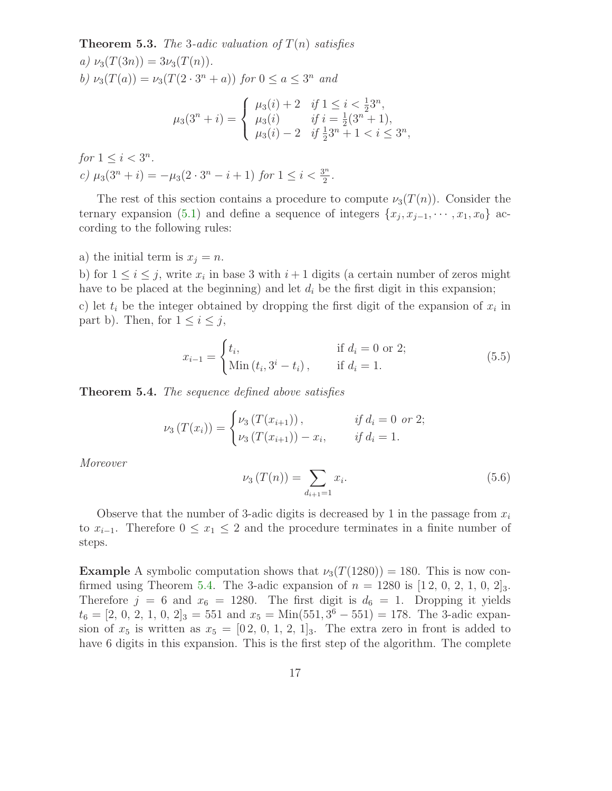**Theorem 5.3.** The 3-adic valuation of  $T(n)$  satisfies a)  $\nu_3(T(3n)) = 3\nu_3(T(n)).$ 

b)  $\nu_3(T(a)) = \nu_3(T(2 \cdot 3^n + a))$  for  $0 \le a \le 3^n$  and

$$
\mu_3(3^n+i) = \begin{cases} \mu_3(i) + 2 & \text{if } 1 \le i < \frac{1}{2}3^n, \\ \mu_3(i) & \text{if } i = \frac{1}{2}(3^n+1), \\ \mu_3(i) - 2 & \text{if } \frac{1}{2}3^n + 1 < i \le 3^n, \end{cases}
$$

for 
$$
1 \le i < 3^n
$$
.  
\n*c)*  $\mu_3(3^n + i) = -\mu_3(2 \cdot 3^n - i + 1)$  for  $1 \le i < \frac{3^n}{2}$ .

The rest of this section contains a procedure to compute  $\nu_3(T(n))$ . Consider the ternary expansion [\(5.1\)](#page-15-1) and define a sequence of integers  $\{x_j, x_{j-1}, \dots, x_1, x_0\}$  according to the following rules:

a) the initial term is  $x_j = n$ .

b) for  $1 \leq i \leq j$ , write  $x_i$  in base 3 with  $i+1$  digits (a certain number of zeros might have to be placed at the beginning) and let  $d_i$  be the first digit in this expansion; c) let  $t_i$  be the integer obtained by dropping the first digit of the expansion of  $x_i$  in part b). Then, for  $1 \leq i \leq j$ ,

$$
x_{i-1} = \begin{cases} t_i, & \text{if } d_i = 0 \text{ or } 2; \\ \text{Min } (t_i, 3^i - t_i), & \text{if } d_i = 1. \end{cases}
$$
 (5.5)

<span id="page-16-0"></span>**Theorem 5.4.** The sequence defined above satisfies

$$
\nu_3(T(x_i)) = \begin{cases} \nu_3(T(x_{i+1})), & \text{if } d_i = 0 \text{ or } 2; \\ \nu_3(T(x_{i+1})) - x_i, & \text{if } d_i = 1. \end{cases}
$$

Moreover

$$
\nu_3(T(n)) = \sum_{d_{i+1}=1} x_i.
$$
\n(5.6)

Observe that the number of 3-adic digits is decreased by 1 in the passage from  $x_i$ to  $x_{i-1}$ . Therefore  $0 \leq x_1 \leq 2$  and the procedure terminates in a finite number of steps.

**Example** A symbolic computation shows that  $\nu_3(T(1280)) = 180$ . This is now con-firmed using Theorem [5.4.](#page-16-0) The 3-adic expansion of  $n = 1280$  is  $[1, 2, 0, 2, 1, 0, 2]_3$ . Therefore  $j = 6$  and  $x_6 = 1280$ . The first digit is  $d_6 = 1$ . Dropping it yields  $t_6 = [2, 0, 2, 1, 0, 2]_3 = 551$  and  $x_5 = \text{Min}(551, 3^6 - 551) = 178$ . The 3-adic expansion of  $x_5$  is written as  $x_5 = [0 \, 2, 0, 1, 2, 1]_3$ . The extra zero in front is added to have 6 digits in this expansion. This is the first step of the algorithm. The complete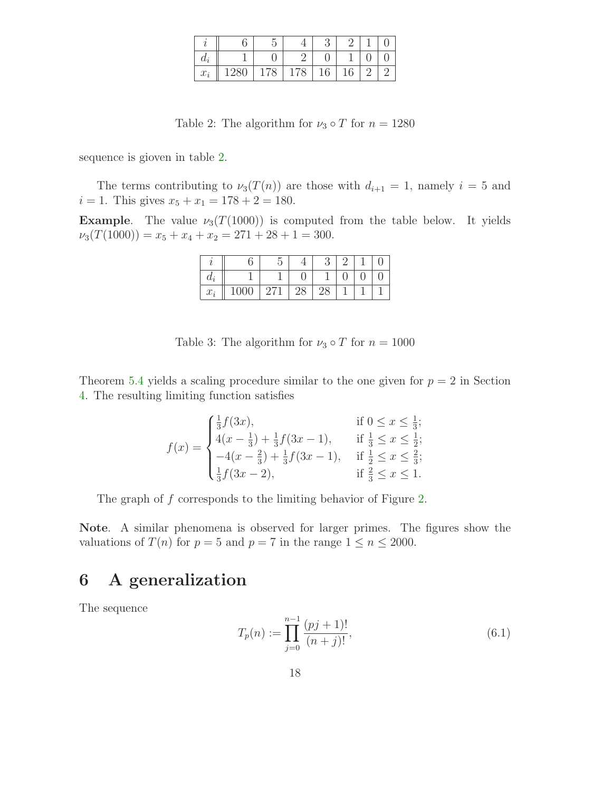|       |     |           |                         | ◡                   |    |  |
|-------|-----|-----------|-------------------------|---------------------|----|--|
| $a_i$ |     |           |                         |                     |    |  |
| $x_i$ | 400 | $10^{-1}$ | $\circ$<br>$\mathbf{I}$ | $\mathcal{L}$<br>10 | ΙU |  |

<span id="page-17-0"></span>Table 2: The algorithm for  $\nu_3 \circ T$  for  $n = 1280$ 

sequence is gioven in table [2.](#page-17-0)

The terms contributing to  $\nu_3(T(n))$  are those with  $d_{i+1} = 1$ , namely  $i = 5$  and  $i = 1$ . This gives  $x_5 + x_1 = 178 + 2 = 180$ .

**Example.** The value  $\nu_3(T(1000))$  is computed from the table below. It yields  $\nu_3(T(1000)) = x_5 + x_4 + x_2 = 271 + 28 + 1 = 300.$ 

| $a_i$ |      |   |    |    |  |  |
|-------|------|---|----|----|--|--|
| $x_i$ | 1000 | . | 40 | 40 |  |  |

Table 3: The algorithm for  $\nu_3 \circ T$  for  $n = 1000$ 

Theorem [5.4](#page-16-0) yields a scaling procedure similar to the one given for  $p = 2$  in Section [4.](#page-5-1) The resulting limiting function satisfies

$$
f(x) = \begin{cases} \frac{1}{3}f(3x), & \text{if } 0 \le x \le \frac{1}{3};\\ 4(x - \frac{1}{3}) + \frac{1}{3}f(3x - 1), & \text{if } \frac{1}{3} \le x \le \frac{1}{2};\\ -4(x - \frac{2}{3}) + \frac{1}{3}f(3x - 1), & \text{if } \frac{1}{2} \le x \le \frac{2}{3};\\ \frac{1}{3}f(3x - 2), & \text{if } \frac{2}{3} \le x \le 1. \end{cases}
$$

The graph of f corresponds to the limiting behavior of Figure [2.](#page-2-1)

Note. A similar phenomena is observed for larger primes. The figures show the valuations of  $T(n)$  for  $p = 5$  and  $p = 7$  in the range  $1 \le n \le 2000$ .

### <span id="page-17-1"></span>6 A generalization

The sequence

$$
T_p(n) := \prod_{j=0}^{n-1} \frac{(pj+1)!}{(n+j)!},\tag{6.1}
$$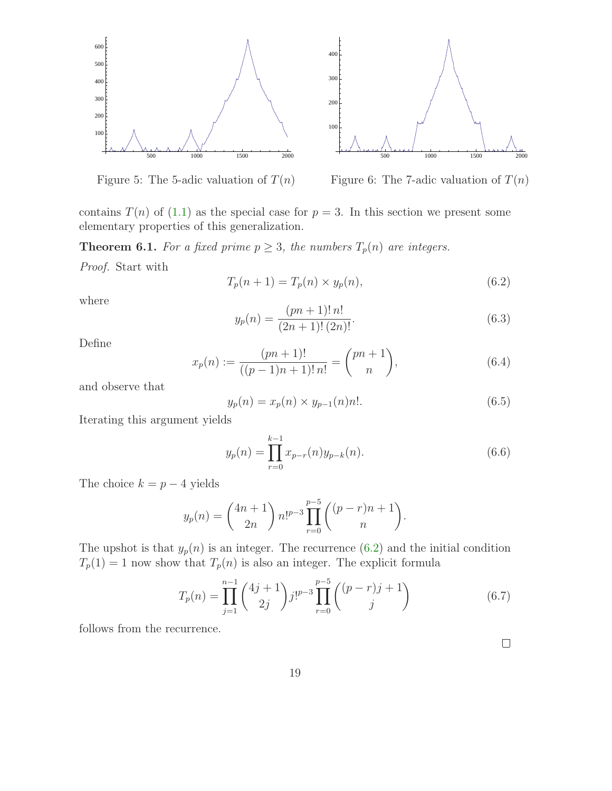

Figure 5: The 5-adic valuation of  $T(n)$ 



contains  $T(n)$  of [\(1.1\)](#page-0-0) as the special case for  $p = 3$ . In this section we present some elementary properties of this generalization.

<span id="page-18-0"></span>**Theorem 6.1.** For a fixed prime  $p \geq 3$ , the numbers  $T_p(n)$  are integers.

Proof. Start with

$$
T_p(n+1) = T_p(n) \times y_p(n),\tag{6.2}
$$

where

$$
y_p(n) = \frac{(pn+1)! \, n!}{(2n+1)! \, (2n)!}.
$$
\n
$$
(6.3)
$$

Define

$$
x_p(n) := \frac{(pn+1)!}{((p-1)n+1)! \, n!} = \binom{pn+1}{n},\tag{6.4}
$$

and observe that

$$
y_p(n) = x_p(n) \times y_{p-1}(n)n!.
$$
 (6.5)

Iterating this argument yields

$$
y_p(n) = \prod_{r=0}^{k-1} x_{p-r}(n) y_{p-k}(n).
$$
 (6.6)

The choice  $k = p - 4$  yields

$$
y_p(n) = {4n+1 \choose 2n} n!^{p-3} \prod_{r=0}^{p-5} {(p-r)n + 1 \choose n}.
$$

The upshot is that  $y_p(n)$  is an integer. The recurrence  $(6.2)$  and the initial condition  $T_p(1) = 1$  now show that  $T_p(n)$  is also an integer. The explicit formula

$$
T_p(n) = \prod_{j=1}^{n-1} {4j+1 \choose 2j} j!^{p-3} \prod_{r=0}^{p-5} {(p-r)j+1 \choose j}
$$
(6.7)

follows from the recurrence.

 $\Box$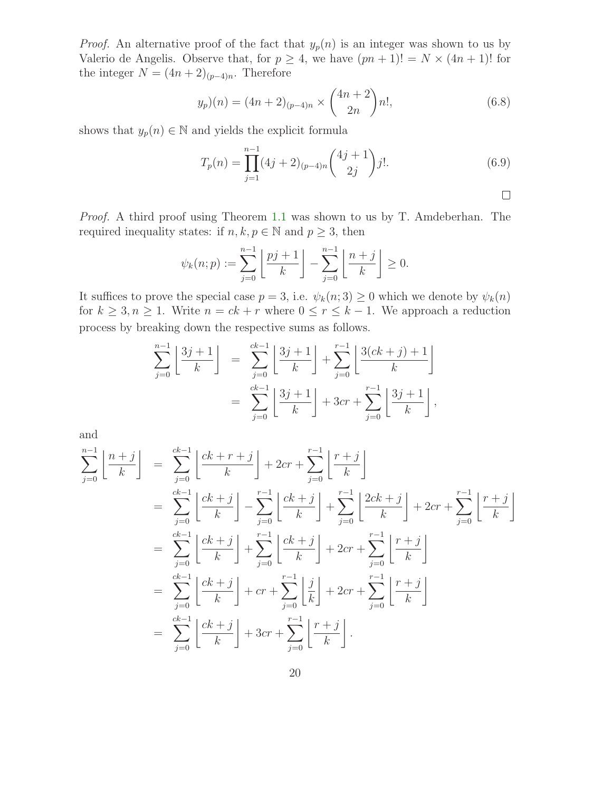*Proof.* An alternative proof of the fact that  $y_p(n)$  is an integer was shown to us by Valerio de Angelis. Observe that, for  $p \geq 4$ , we have  $(pn + 1)! = N \times (4n + 1)!$  for the integer  $N = (4n + 2)_{(p-4)n}$ . Therefore

$$
y_p)(n) = (4n+2)_{(p-4)n} \times \binom{4n+2}{2n} n!,\tag{6.8}
$$

shows that  $y_p(n) \in \mathbb{N}$  and yields the explicit formula

$$
T_p(n) = \prod_{j=1}^{n-1} (4j+2)_{(p-4)n} {4j+1 \choose 2j} j!.
$$
 (6.9)

$$
\square
$$

Proof. A third proof using Theorem [1.1](#page-1-0) was shown to us by T. Amdeberhan. The required inequality states: if  $n, k, p \in \mathbb{N}$  and  $p \geq 3$ , then

$$
\psi_k(n; p) := \sum_{j=0}^{n-1} \left\lfloor \frac{pj+1}{k} \right\rfloor - \sum_{j=0}^{n-1} \left\lfloor \frac{n+j}{k} \right\rfloor \ge 0.
$$

It suffices to prove the special case  $p = 3$ , i.e.  $\psi_k(n; 3) \geq 0$  which we denote by  $\psi_k(n)$ for  $k \geq 3, n \geq 1$ . Write  $n = ck + r$  where  $0 \leq r \leq k - 1$ . We approach a reduction process by breaking down the respective sums as follows.

$$
\sum_{j=0}^{n-1} \left[ \frac{3j+1}{k} \right] = \sum_{j=0}^{ck-1} \left[ \frac{3j+1}{k} \right] + \sum_{j=0}^{r-1} \left[ \frac{3(ck+j)+1}{k} \right]
$$

$$
= \sum_{j=0}^{ck-1} \left[ \frac{3j+1}{k} \right] + 3cr + \sum_{j=0}^{r-1} \left[ \frac{3j+1}{k} \right],
$$

and

$$
\sum_{j=0}^{n-1} \left[ \frac{n+j}{k} \right] = \sum_{j=0}^{ck-1} \left[ \frac{ck+r+j}{k} \right] + 2cr + \sum_{j=0}^{r-1} \left[ \frac{r+j}{k} \right]
$$
\n
$$
= \sum_{j=0}^{ck-1} \left[ \frac{ck+j}{k} \right] - \sum_{j=0}^{r-1} \left[ \frac{ck+j}{k} \right] + \sum_{j=0}^{r-1} \left[ \frac{2ck+j}{k} \right] + 2cr + \sum_{j=0}^{r-1} \left[ \frac{r+j}{k} \right]
$$
\n
$$
= \sum_{j=0}^{ck-1} \left[ \frac{ck+j}{k} \right] + \sum_{j=0}^{r-1} \left[ \frac{ck+j}{k} \right] + 2cr + \sum_{j=0}^{r-1} \left[ \frac{r+j}{k} \right]
$$
\n
$$
= \sum_{j=0}^{ck-1} \left[ \frac{ck+j}{k} \right] + cr + \sum_{j=0}^{r-1} \left[ \frac{j}{k} \right] + 2cr + \sum_{j=0}^{r-1} \left[ \frac{r+j}{k} \right]
$$
\n
$$
= \sum_{j=0}^{ck-1} \left[ \frac{ck+j}{k} \right] + 3cr + \sum_{j=0}^{r-1} \left[ \frac{r+j}{k} \right].
$$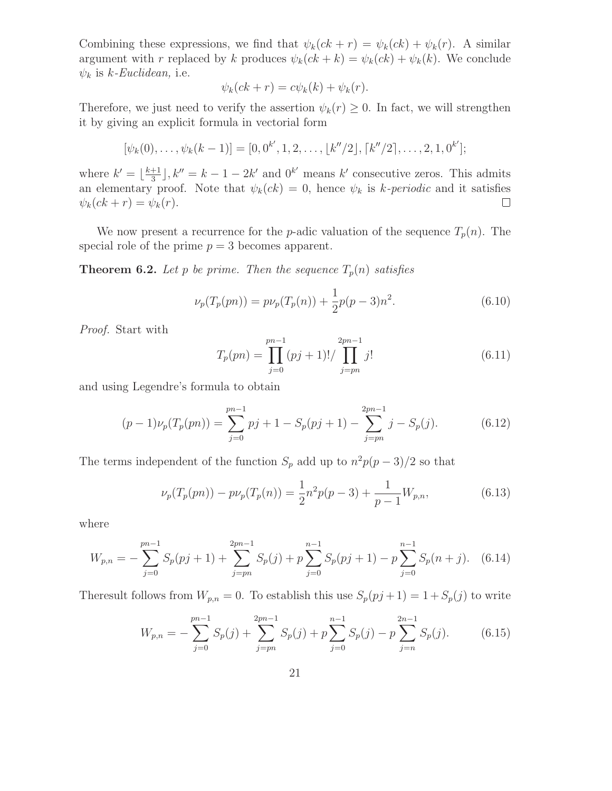Combining these expressions, we find that  $\psi_k(ck + r) = \psi_k(ck) + \psi_k(r)$ . A similar argument with r replaced by k produces  $\psi_k(ck + k) = \psi_k(ck) + \psi_k(k)$ . We conclude  $\psi_k$  is k-Euclidean, i.e.

$$
\psi_k(ck+r) = c\psi_k(k) + \psi_k(r).
$$

Therefore, we just need to verify the assertion  $\psi_k(r) \geq 0$ . In fact, we will strengthen it by giving an explicit formula in vectorial form

$$
[\psi_k(0),\ldots,\psi_k(k-1)]=[0,0^{k'},1,2,\ldots,[k''/2],[k''/2],\ldots,2,1,0^{k'}];
$$

where  $k' = \lfloor \frac{k+1}{3} \rfloor$  $\frac{+1}{3}$ ,  $k'' = k - 1 - 2k'$  and  $0^{k'}$  means  $k'$  consecutive zeros. This admits an elementary proof. Note that  $\psi_k(ck) = 0$ , hence  $\psi_k$  is k-periodic and it satisfies  $\psi_k(ck+r) = \psi_k(r).$  $\Box$ 

We now present a recurrence for the *p*-adic valuation of the sequence  $T_p(n)$ . The special role of the prime  $p = 3$  becomes apparent.

**Theorem 6.2.** Let p be prime. Then the sequence  $T_p(n)$  satisfies

$$
\nu_p(T_p(pn)) = p\nu_p(T_p(n)) + \frac{1}{2}p(p-3)n^2.
$$
\n(6.10)

Proof. Start with

$$
T_p(pn) = \prod_{j=0}^{pn-1} (pj+1)! / \prod_{j=pn}^{2pn-1} j!
$$
 (6.11)

and using Legendre's formula to obtain

$$
(p-1)\nu_p(T_p(pn)) = \sum_{j=0}^{pn-1} pj + 1 - S_p(pj+1) - \sum_{j=pn}^{2pn-1} j - S_p(j).
$$
 (6.12)

The terms independent of the function  $S_p$  add up to  $n^2p(p-3)/2$  so that

$$
\nu_p(T_p(pn)) - p\nu_p(T_p(n)) = \frac{1}{2}n^2p(p-3) + \frac{1}{p-1}W_{p,n},\tag{6.13}
$$

where

$$
W_{p,n} = -\sum_{j=0}^{pn-1} S_p(pj+1) + \sum_{j=pn}^{2pn-1} S_p(j) + p \sum_{j=0}^{n-1} S_p(pj+1) - p \sum_{j=0}^{n-1} S_p(n+j). \tag{6.14}
$$

<span id="page-20-0"></span>Theresult follows from  $W_{p,n} = 0$ . To establish this use  $S_p(pj+1) = 1 + S_p(j)$  to write

$$
W_{p,n} = -\sum_{j=0}^{pn-1} S_p(j) + \sum_{j=pn}^{2pn-1} S_p(j) + p \sum_{j=0}^{n-1} S_p(j) - p \sum_{j=n}^{2n-1} S_p(j).
$$
 (6.15)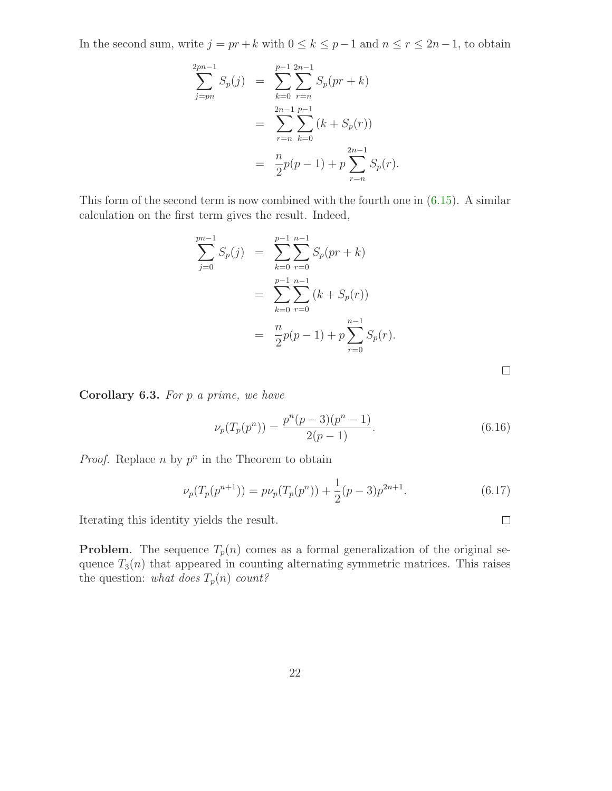In the second sum, write  $j = pr + k$  with  $0 \le k \le p - 1$  and  $n \le r \le 2n - 1$ , to obtain

$$
\sum_{j=pn}^{2pn-1} S_p(j) = \sum_{k=0}^{p-1} \sum_{r=n}^{2n-1} S_p(pr+k)
$$
  
= 
$$
\sum_{r=n}^{2n-1} \sum_{k=0}^{p-1} (k + S_p(r))
$$
  
= 
$$
\frac{n}{2}p(p-1) + p \sum_{r=n}^{2n-1} S_p(r).
$$

This form of the second term is now combined with the fourth one in [\(6.15\)](#page-20-0). A similar calculation on the first term gives the result. Indeed,

$$
\sum_{j=0}^{pn-1} S_p(j) = \sum_{k=0}^{p-1} \sum_{r=0}^{n-1} S_p(pr+k)
$$
  
= 
$$
\sum_{k=0}^{p-1} \sum_{r=0}^{n-1} (k + S_p(r))
$$
  
= 
$$
\frac{n}{2}p(p-1) + p \sum_{r=0}^{n-1} S_p(r).
$$

Corollary 6.3. For p a prime, we have

$$
\nu_p(T_p(p^n)) = \frac{p^n(p-3)(p^n-1)}{2(p-1)}.\tag{6.16}
$$

*Proof.* Replace *n* by  $p^n$  in the Theorem to obtain

$$
\nu_p(T_p(p^{n+1})) = p\nu_p(T_p(p^n)) + \frac{1}{2}(p-3)p^{2n+1}.
$$
\n(6.17)

Iterating this identity yields the result.

**Problem.** The sequence  $T_p(n)$  comes as a formal generalization of the original sequence  $T_3(n)$  that appeared in counting alternating symmetric matrices. This raises the question: what does  $T_p(n)$  count?

 $\Box$ 

 $\Box$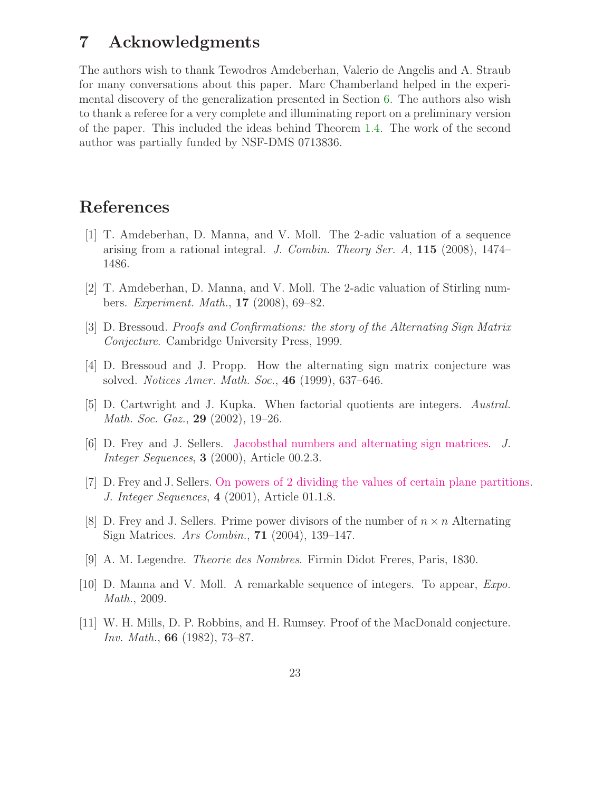## 7 Acknowledgments

The authors wish to thank Tewodros Amdeberhan, Valerio de Angelis and A. Straub for many conversations about this paper. Marc Chamberland helped in the experimental discovery of the generalization presented in Section [6.](#page-17-1) The authors also wish to thank a referee for a very complete and illuminating report on a preliminary version of the paper. This included the ideas behind Theorem [1.4.](#page-3-1) The work of the second author was partially funded by NSF-DMS 0713836.

# <span id="page-22-4"></span>References

- [1] T. Amdeberhan, D. Manna, and V. Moll. The 2-adic valuation of a sequence arising from a rational integral. J. Combin. Theory Ser.  $A$ , 115 (2008), 1474– 1486.
- <span id="page-22-6"></span><span id="page-22-0"></span>[2] T. Amdeberhan, D. Manna, and V. Moll. The 2-adic valuation of Stirling numbers. Experiment. Math., 17 (2008), 69–82.
- <span id="page-22-1"></span>[3] D. Bressoud. Proofs and Confirmations: the story of the Alternating Sign Matrix Conjecture. Cambridge University Press, 1999.
- <span id="page-22-3"></span>[4] D. Bressoud and J. Propp. How the alternating sign matrix conjecture was solved. Notices Amer. Math. Soc., 46 (1999), 637–646.
- <span id="page-22-7"></span>[5] D. Cartwright and J. Kupka. When factorial quotients are integers. Austral. Math. Soc. Gaz., 29 (2002), 19–26.
- <span id="page-22-9"></span>[6] D. Frey and J. Sellers. [Jacobsthal numbers and alternating sign matrices.](http://www.cs.uwaterloo.ca/journals/JIS/VOL3/SELLERS/sellers.html) J. Integer Sequences, 3 (2000), Article 00.2.3.
- <span id="page-22-10"></span>[7] D. Frey and J. Sellers. [On powers of 2 dividing the values of certain plane partitions.](http://www.cs.uwaterloo.ca/journals/JIS/VOL4/SELLERS/powers.html) J. Integer Sequences, 4 (2001), Article 01.1.8.
- [8] D. Frey and J. Sellers. Prime power divisors of the number of  $n \times n$  Alternating Sign Matrices. Ars Combin., 71 (2004), 139–147.
- <span id="page-22-8"></span>[9] A. M. Legendre. Theorie des Nombres. Firmin Didot Freres, Paris, 1830.
- <span id="page-22-5"></span><span id="page-22-2"></span>[10] D. Manna and V. Moll. A remarkable sequence of integers. To appear, Expo. Math., 2009.
- [11] W. H. Mills, D. P. Robbins, and H. Rumsey. Proof of the MacDonald conjecture. Inv. Math., 66 (1982), 73–87.